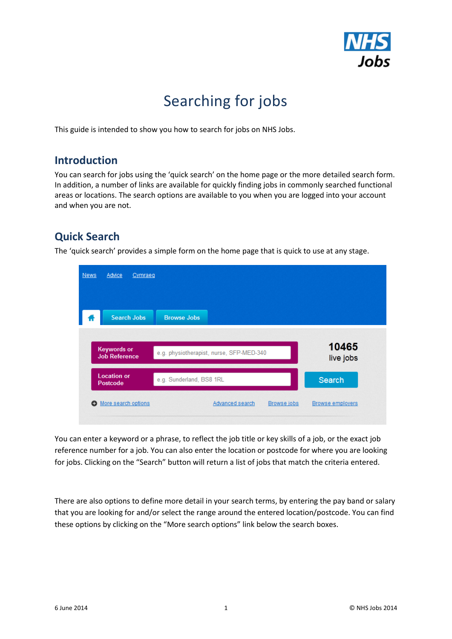

# Searching for jobs

This guide is intended to show you how to search for jobs on NHS Jobs.

### **Introduction**

You can search for jobs using the 'quick search' on the home page or the more detailed search form. In addition, a number of links are available for quickly finding jobs in commonly searched functional areas or locations. The search options are available to you when you are logged into your account and when you are not.

# **Quick Search**

The 'quick search' provides a simple form on the home page that is quick to use at any stage.

| e.g. physiotherapist, nurse, SFP-MED-340 | 10465<br>live jobs            |
|------------------------------------------|-------------------------------|
| e.g. Sunderland, BS8 1RL                 | Search                        |
| Advanced search<br><b>Browse jobs</b>    | <b>Browse employers</b>       |
|                                          | Cymraeg<br><b>Browse Jobs</b> |

You can enter a keyword or a phrase, to reflect the job title or key skills of a job, or the exact job reference number for a job. You can also enter the location or postcode for where you are looking for jobs. Clicking on the "Search" button will return a list of jobs that match the criteria entered.

There are also options to define more detail in your search terms, by entering the pay band or salary that you are looking for and/or select the range around the entered location/postcode. You can find these options by clicking on the "More search options" link below the search boxes.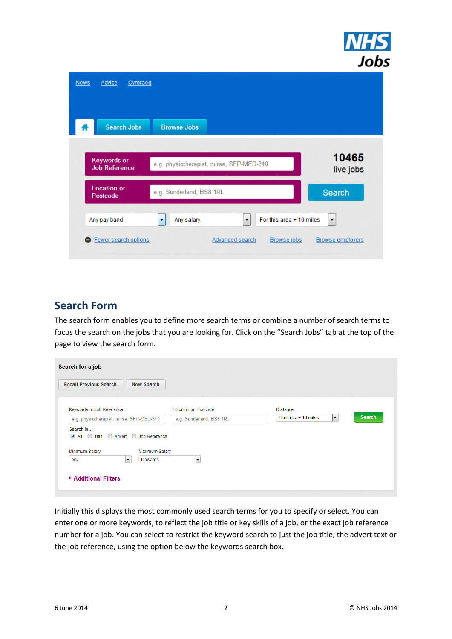

| <b>News</b> | Advice<br>Cymraeg                          |                                                                     |                         |
|-------------|--------------------------------------------|---------------------------------------------------------------------|-------------------------|
|             | <b>Search Jobs</b>                         | <b>Browse Jobs</b>                                                  |                         |
|             | <b>Keywords or</b><br><b>Job Reference</b> | e.g. physiotherapist, nurse, SFP-MED-340                            | 10465<br>live jobs      |
|             | <b>Location or</b><br>Postcode             | e.g. Sunderland, BS8 1RL                                            | Search                  |
|             | Any pay band                               | For this area + 10 miles<br>۰<br>Any salary<br>$\blacktriangledown$ | ۰.                      |
|             | Fewer search options                       | Advanced search<br><b>Browse jobs</b>                               | <b>Browse employers</b> |

### **Search Form**

The search form enables you to define more search terms or combine a number of search terms to focus the search on the jobs that you are looking for. Click on the "Search Jobs" tab at the top of the page to view the search form.

| <b>Recall Previous Search</b>                       | <b>New Search</b> |                             |                                                  |        |
|-----------------------------------------------------|-------------------|-----------------------------|--------------------------------------------------|--------|
| Keywords or Job Reference                           |                   | <b>Location or Postcode</b> | <b>Distance</b>                                  |        |
| e.g. physiotherapist, nurse, SFP-MED-340            |                   | e.g. Sunderland, BS8 1RL    | $\overline{\phantom{a}}$<br>This area + 10 miles | Search |
| Search in<br>● All ● Title ● Advert ● Job Reference |                   |                             |                                                  |        |
| Minimum Salary                                      | Maximum Salary    |                             |                                                  |        |

Initially this displays the most commonly used search terms for you to specify or select. You can enter one or more keywords, to reflect the job title or key skills of a job, or the exact job reference number for a job. You can select to restrict the keyword search to just the job title, the advert text or the job reference, using the option below the keywords search box.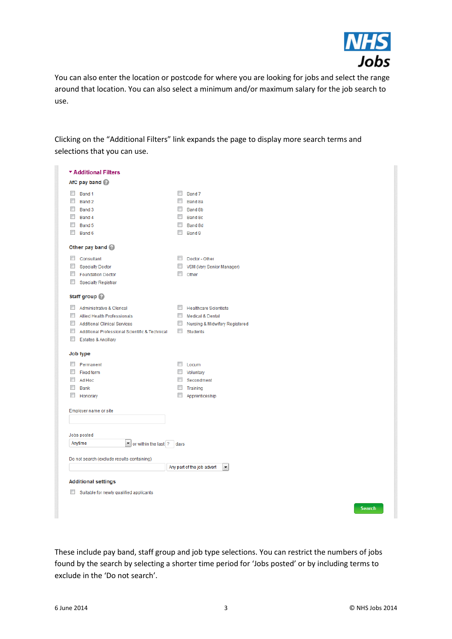

You can also enter the location or postcode for where you are looking for jobs and select the range around that location. You can also select a minimum and/or maximum salary for the job search to use.

Clicking on the "Additional Filters" link expands the page to display more search terms and selections that you can use.

| <b>TAdditional Filters</b>                                                                                                                                                                                                       |                                                                                                                                                |               |
|----------------------------------------------------------------------------------------------------------------------------------------------------------------------------------------------------------------------------------|------------------------------------------------------------------------------------------------------------------------------------------------|---------------|
| AfC pay band                                                                                                                                                                                                                     |                                                                                                                                                |               |
| $\Box$<br>Band 1<br>$\Box$<br>Band 2<br>Band 3<br>$\Box$<br>Band 4<br>$\Box$<br>Band 5<br>$\Box$<br>Band 6                                                                                                                       | $\Box$<br>Band 7<br>$\Box$<br>Band 8a<br>$\Box$<br>Band 8b<br>$\Box$<br>Band 8c<br>$\Box$<br>Band 8d<br>$\Box$<br>Band 9                       |               |
| Other pay band                                                                                                                                                                                                                   |                                                                                                                                                |               |
| $\Box$<br>Consultant<br>$\blacksquare$<br><b>Specialty Doctor</b><br>$\Box$<br><b>Foundation Doctor</b><br>$\Box$<br><b>Specialty Registrar</b>                                                                                  | $\Box$<br>Doctor - Other<br>VSM (Very Senior Manager)<br>Г<br>$\Box$<br>Other                                                                  |               |
| Staff group                                                                                                                                                                                                                      |                                                                                                                                                |               |
| $\Box$<br>Administrative & Clerical<br>П<br>Allied Health Professionals<br>$\Box$<br><b>Additional Clinical Services</b><br>$\Box$<br>Additional Professional Scientific & Technical<br>$\Box$<br><b>Estates &amp; Ancillary</b> | $\Box$<br><b>Healthcare Scientists</b><br>П<br><b>Medical &amp; Dental</b><br>E<br>Nursing & Midwifery Registered<br>$\Box$<br><b>Students</b> |               |
| Job type                                                                                                                                                                                                                         |                                                                                                                                                |               |
| E<br>Permanent<br>$\Box$<br><b>Fixed term</b><br>Π<br>Ad Hoc<br>$\Box$<br>Bank<br>$\Box$<br>Honorary                                                                                                                             | $\Box$<br>Locum<br>$\Box$<br>Voluntary<br>$\blacksquare$<br>Secondment<br>$\Box$<br>Training<br>$\Box$<br>Apprenticeship                       |               |
| Employer name or site                                                                                                                                                                                                            |                                                                                                                                                |               |
| Jobs posted<br>Anytime<br>$\blacktriangleright$ or within the last ?<br>Do not search (exclude results containing)                                                                                                               | days<br>Any part of the job advert<br>$\blacktriangledown$                                                                                     |               |
| <b>Additional settings</b>                                                                                                                                                                                                       |                                                                                                                                                |               |
| Suitable for newly qualified applicants                                                                                                                                                                                          |                                                                                                                                                | <b>Search</b> |
|                                                                                                                                                                                                                                  |                                                                                                                                                |               |

These include pay band, staff group and job type selections. You can restrict the numbers of jobs found by the search by selecting a shorter time period for 'Jobs posted' or by including terms to exclude in the 'Do not search'.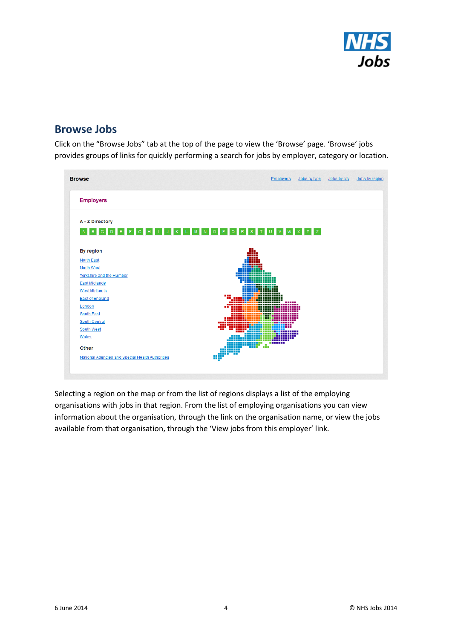

## **Browse Jobs**

Click on the "Browse Jobs" tab at the top of the page to view the 'Browse' page. 'Browse' jobs provides groups of links for quickly performing a search for jobs by employer, category or location.



Selecting a region on the map or from the list of regions displays a list of the employing organisations with jobs in that region. From the list of employing organisations you can view information about the organisation, through the link on the organisation name, or view the jobs available from that organisation, through the 'View jobs from this employer' link.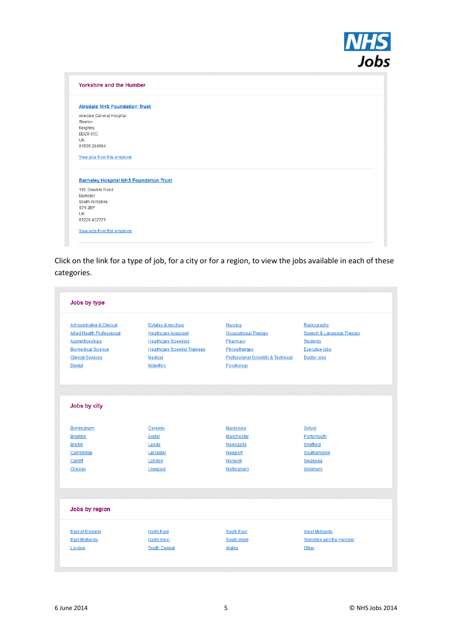

| <b>Yorkshire and the Humber</b>                                                       |                                               |  |
|---------------------------------------------------------------------------------------|-----------------------------------------------|--|
| <b>Airedale NHS Foundation Trust</b>                                                  |                                               |  |
| Airedale General Hospital                                                             |                                               |  |
| Steeton                                                                               |                                               |  |
| <b>Keighley</b>                                                                       |                                               |  |
| <b>BD20 6TD</b>                                                                       |                                               |  |
| <b>UK</b>                                                                             |                                               |  |
| 01535 294864                                                                          |                                               |  |
| View jobs from this employer                                                          |                                               |  |
|                                                                                       | <b>Barnsley Hospital NHS Foundation Trust</b> |  |
|                                                                                       |                                               |  |
|                                                                                       |                                               |  |
|                                                                                       |                                               |  |
|                                                                                       |                                               |  |
| 118, Gawber Road<br><b>Barnsley</b><br>South Yorkshire<br><b>S75 2EP</b><br><b>UK</b> |                                               |  |

Click on the link for a type of job, for a city or for a region, to view the jobs available in each of these categories.

| Jobs by type                                                                                                                                             |                                                                                                                                                               |                                                                                                                                 |                                                                                              |
|----------------------------------------------------------------------------------------------------------------------------------------------------------|---------------------------------------------------------------------------------------------------------------------------------------------------------------|---------------------------------------------------------------------------------------------------------------------------------|----------------------------------------------------------------------------------------------|
| <b>Administrative &amp; Clerical</b><br>Allied Health Professional<br>Apprenticeships<br><b>Biomedical Science</b><br><b>Clinical Services</b><br>Dental | <b>Estates &amp; Ancillary</b><br><b>Healthcare Assistant</b><br><b>Healthcare Scientists</b><br><b>Healthcare Scientist Trainees</b><br>Medical<br>Midwifery | <b>Nursing</b><br><b>Occupational Therapy</b><br>Pharmacy<br>Physiotherapy<br>Professional Scientific & Technical<br>Psychology | Radiography<br>Speech & Language Therapy<br><b>Students</b><br>Executive jobs<br>Doctor jobs |
| Jobs by city                                                                                                                                             |                                                                                                                                                               |                                                                                                                                 |                                                                                              |
| Birmingham<br><b>Brighton</b><br><b>Bristol</b><br>Cambridge<br>Cardiff<br>Chester                                                                       | Coventry<br>Exeter<br>Leeds<br>Leicester<br>London<br>Liverpool                                                                                               | <b>Maidstone</b><br>Manchester<br>Newcastle<br>Newport<br>Norwich<br>Nottingham                                                 | Oxford<br>Portsmouth<br>Sheffield<br>Southampton<br>Swansea<br>Wrexham                       |
| Jobs by region                                                                                                                                           |                                                                                                                                                               |                                                                                                                                 |                                                                                              |
| <b>East of England</b><br><b>East Midlands</b><br>London                                                                                                 | North East<br><b>North West</b><br>South Central                                                                                                              | South East<br><b>South West</b><br>Wales                                                                                        | <b>West Midlands</b><br>Yorkshire and the Humber<br>Other                                    |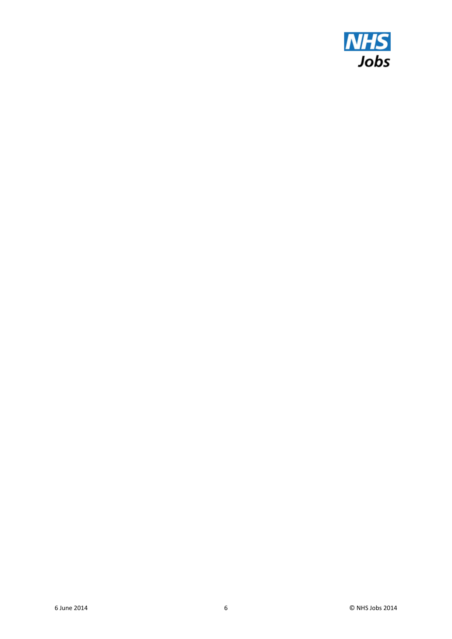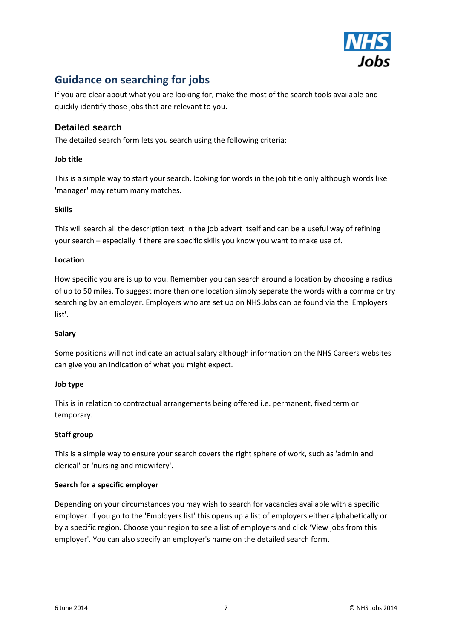

# **Guidance on searching for jobs**

If you are clear about what you are looking for, make the most of the search tools available and quickly identify those jobs that are relevant to you.

#### **Detailed search**

The detailed search form lets you search using the following criteria:

#### **Job title**

This is a simple way to start your search, looking for words in the job title only although words like 'manager' may return many matches.

#### **Skills**

This will search all the description text in the job advert itself and can be a useful way of refining your search – especially if there are specific skills you know you want to make use of.

#### **Location**

How specific you are is up to you. Remember you can search around a location by choosing a radius of up to 50 miles. To suggest more than one location simply separate the words with a comma or try searching by an employer. Employers who are set up on NHS Jobs can be found via the 'Employers list'.

#### **Salary**

Some positions will not indicate an actual salary although information on the NHS Careers websites can give you an indication of what you might expect.

#### **Job type**

This is in relation to contractual arrangements being offered i.e. permanent, fixed term or temporary.

#### **Staff group**

This is a simple way to ensure your search covers the right sphere of work, such as 'admin and clerical' or 'nursing and midwifery'.

#### **Search for a specific employer**

Depending on your circumstances you may wish to search for vacancies available with a specific employer. If you go to the 'Employers list' this opens up a list of employers either alphabetically or by a specific region. Choose your region to see a list of employers and click 'View jobs from this employer'. You can also specify an employer's name on the detailed search form.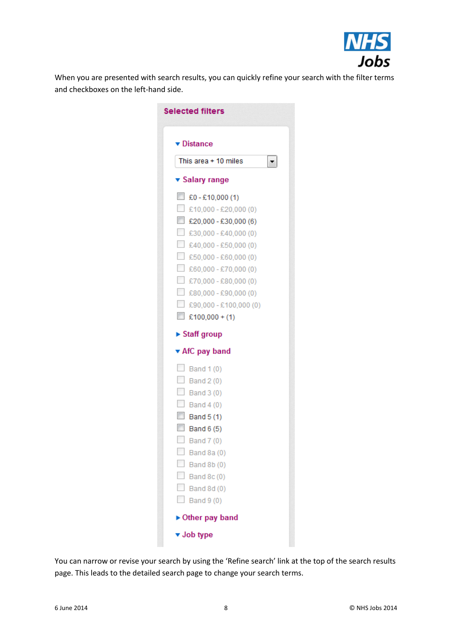

When you are presented with search results, you can quickly refine your search with the filter terms and checkboxes on the left-hand side.

| <b>Selected filters</b>                                                       |
|-------------------------------------------------------------------------------|
| ▼ Distance                                                                    |
| This area + 10 miles                                                          |
| ▼ Salary range                                                                |
| $\overline{\phantom{a}}$<br>£0-£10,000(1)                                     |
| $\Box$<br>£10,000 - £20,000 (0)                                               |
| $\Box$<br>£20,000 - £30,000 (6)<br>Q                                          |
| £30,000 - £40,000 (0)<br>$\mathcal{L}_{\mathcal{A}}$<br>£40,000 - £50,000 (0) |
| $\Box$<br>£50,000 - £60,000 (0)                                               |
| $\Box$<br>£60,000 - £70,000 (0)                                               |
| □<br>£70,000 - £80,000 (0)                                                    |
| П<br>£80,000 - £90,000 (0)                                                    |
| $\Box$<br>£90,000 - £100,000 (0)                                              |
| $\Box$<br>£100,000 + (1)                                                      |
| ► Staff group                                                                 |
| ▼ AfC pay band                                                                |
| $\Box$ Band 1 (0)                                                             |
| n<br>Band 2 (0)                                                               |
| Q<br>Band 3 (0)                                                               |
| $\Box$ Band 4 (0)                                                             |
| $\Box$ Band 5 (1)                                                             |
| <b>Band 6 (5)</b>                                                             |
| Band 7 (0)                                                                    |
| Band 8a (0)                                                                   |
| Band 8b (0)                                                                   |
| <b>Band 8c (0)</b><br>Band 8d (0)                                             |
| Band 9 (0)                                                                    |
|                                                                               |
| ▶ Other pay band                                                              |
| ▼ Job type                                                                    |

You can narrow or revise your search by using the 'Refine search' link at the top of the search results page. This leads to the detailed search page to change your search terms.